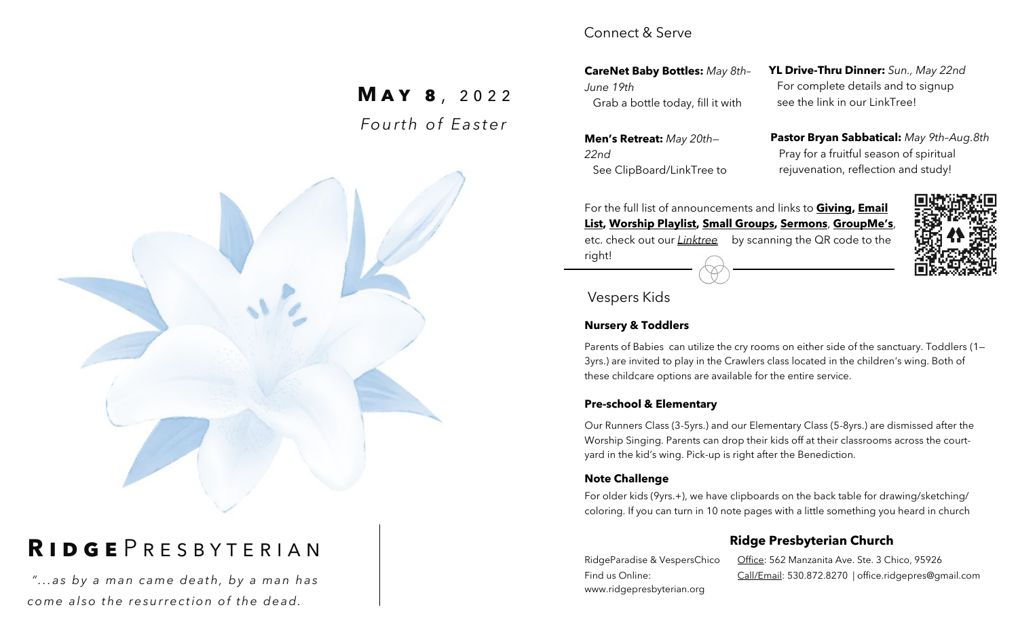**M a y 8** , 2 0 2 2 *Fo u rt h o f E a s t e r* 



# **R i d g e** P r e s b y t e r i a n

"...as by a man came death, by a man has *come also the resurrection of the dead.* 

### Connect & Serve

**CareNet Baby Bottles:** *May 8th– June 19th*  Grab a bottle today, fill it with

**Men's Retreat:** *May 20th— 22nd* See ClipBoard/LinkTree to **YL Drive-Thru Dinner:** *Sun., May 22nd* For complete details and to signup see the link in our LinkTree!

**Pastor Bryan Sabbatical:** *May 9th–Aug.8th*  Pray for a fruitful season of spiritual rejuvenation, reflection and study!

For the full list of announcements and links to **Giving, Email List, Worship Playlist, Small Groups, Sermons**, **GroupMe's**, etc. check out our *Linktree* by scanning the QR code to the right!



Vespers Kids

#### **Nursery & Toddlers**

Parents of Babies can utilize the cry rooms on either side of the sanctuary. Toddlers (1— 3yrs.) are invited to play in the Crawlers class located in the children's wing. Both of these childcare options are available for the entire service.

#### **Pre-school & Elementary**

Our Runners Class (3-5yrs.) and our Elementary Class (5-8yrs.) are dismissed after the Worship Singing. Parents can drop their kids off at their classrooms across the courtyard in the kid's wing. Pick-up is right after the Benediction.

#### **Note Challenge**

For older kids (9yrs.+), we have clipboards on the back table for drawing/sketching/ coloring. If you can turn in 10 note pages with a little something you heard in church

### **Ridge Presbyterian Church**

RidgeParadise & VespersChico Find us Online: www.ridgepresbyterian.org

Office: 562 Manzanita Ave. Ste. 3 Chico, 95926 Call/Email: 530.872.8270 | office.ridgepres@gmail.com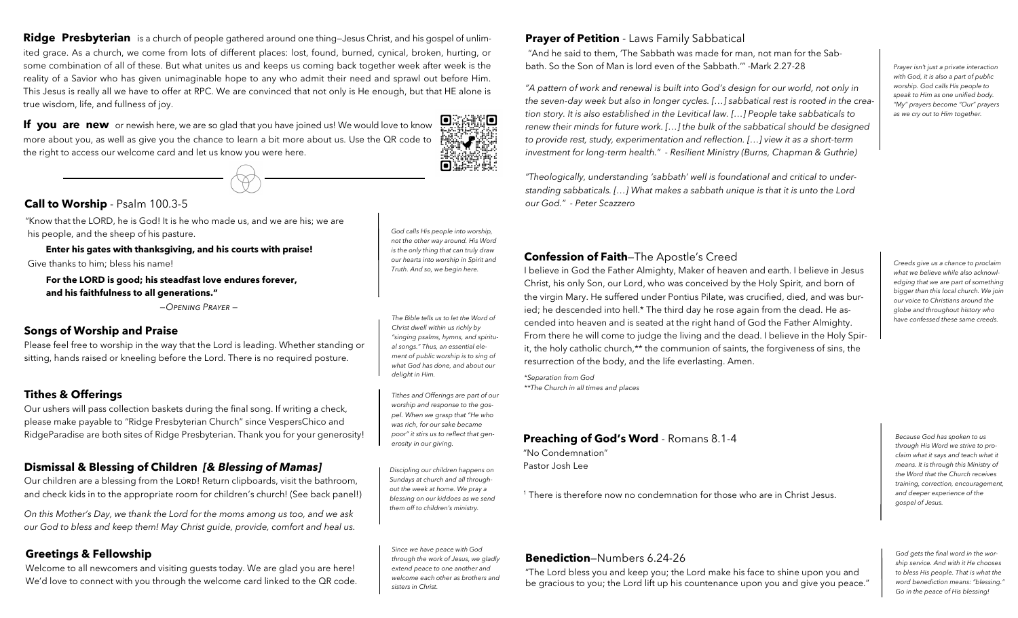**Ridge Presbyterian** is a church of people gathered around one thing—Jesus Christ, and his gospel of unlimited grace. As a church, we come from lots of different places: lost, found, burned, cynical, broken, hurting, or some combination of all of these. But what unites us and keeps us coming back together week after week is the reality of a Savior who has given unimaginable hope to any who admit their need and sprawl out before Him. This Jesus is really all we have to offer at RPC. We are convinced that not only is He enough, but that HE alone is true wisdom, life, and fullness of joy.

**If you are new** or newish here, we are so glad that you have joined us! We would love to know more about you, as well as give you the chance to learn a bit more about us. Use the QR code to the right to access our welcome card and let us know you were here.

#### **Call to Worship** - Psalm 100.3-5 *our God." - Peter Scazzero*

"Know that the LORD, he is God! It is he who made us, and we are his; we are his people, and the sheep of his pasture.

 **Enter his gates with thanksgiving, and his courts with praise!** Give thanks to him; bless his name!

 **For the LORD is good; his steadfast love endures forever, and his faithfulness to all generations."**

*—Opening Prayer —*

#### **Songs of Worship and Praise**

Please feel free to worship in the way that the Lord is leading. Whether standing or sitting, hands raised or kneeling before the Lord. There is no required posture.

#### **Tithes & Offerings**

Our ushers will pass collection baskets during the final song. If writing a check, please make payable to "Ridge Presbyterian Church" since VespersChico and RidgeParadise are both sites of Ridge Presbyterian. Thank you for your generosity!

#### **Dismissal & Blessing of Children** *[& Blessing of Mamas]*

Our children are a blessing from the LORD! Return clipboards, visit the bathroom, and check kids in to the appropriate room for children's church! (See back panel!)

*On this Mother's Day, we thank the Lord for the moms among us too, and we ask our God to bless and keep them! May Christ guide, provide, comfort and heal us.* 

#### **Greetings & Fellowship**

Welcome to all newcomers and visiting guests today. We are glad you are here! We'd love to connect with you through the welcome card linked to the QR code. *God calls His people into worship, not the other way around. His Word is the only thing that can truly draw our hearts into worship in Spirit and Truth. And so, we begin here.* 

n:

:10

*The Bible tells us to let the Word of Christ dwell within us richly by "singing psalms, hymns, and spiritual songs." Thus, an essential element of public worship is to sing of what God has done, and about our delight in Him.* 

*Tithes and Offerings are part of our worship and response to the gospel. When we grasp that "He who was rich, for our sake became poor" it stirs us to reflect that generosity in our giving.*

*Discipling our children happens on Sundays at church and all throughout the week at home. We pray a blessing on our kiddoes as we send them off to children's ministry.* 

*Since we have peace with God through the work of Jesus, we gladly extend peace to one another and welcome each other as brothers and sisters in Christ.* 

#### **Prayer of Petition** - Laws Family Sabbatical

"And he said to them, 'The Sabbath was made for man, not man for the Sabbath. So the Son of Man is lord even of the Sabbath.'" -Mark 2.27-28

*"A pattern of work and renewal is built into God's design for our world, not only in the seven-day week but also in longer cycles. […] sabbatical rest is rooted in the creation story. It is also established in the Levitical law. […] People take sabbaticals to renew their minds for future work. […] the bulk of the sabbatical should be designed to provide rest, study, experimentation and reflection. […] view it as a short-term investment for long-term health." - Resilient Ministry (Burns, Chapman & Guthrie)*

*"Theologically, understanding 'sabbath' well is foundational and critical to understanding sabbaticals. […] What makes a sabbath unique is that it is unto the Lord* 

#### **Confession of Faith**—The Apostle's Creed

I believe in God the Father Almighty, Maker of heaven and earth. I believe in Jesus Christ, his only Son, our Lord, who was conceived by the Holy Spirit, and born of the virgin Mary. He suffered under Pontius Pilate, was crucified, died, and was buried; he descended into hell.\* The third day he rose again from the dead. He ascended into heaven and is seated at the right hand of God the Father Almighty. From there he will come to judge the living and the dead. I believe in the Holy Spirit, the holy catholic church,\*\* the communion of saints, the forgiveness of sins, the resurrection of the body, and the life everlasting. Amen.

*\*Separation from God \*\*The Church in all times and places*

#### **Preaching of God's Word** - Romans 8.1-4

**Benediction**—Numbers 6.24-26

"No Condemnation" Pastor Josh Lee

<sup>1</sup> There is therefore now no condemnation for those who are in Christ Jesus.

*—Continue Liturgy on Back Panel—* "The Lord bless you and keep you; the Lord make his face to shine upon you and

be gracious to you; the Lord lift up his countenance upon you and give you peace."

*Because God has spoken to us through His Word we strive to proclaim what it says and teach what it means. It is through this Ministry of the Word that the Church receives* 

*training, correction, encouragement, and deeper experience of the* 

*gospel of Jesus.*

*God gets the final word in the worship service. And with it He chooses to bless His people. That is what the word benediction means: "blessing." Go in the peace of His blessing!*

*speak to Him as one unified body. "My" prayers become "Our" prayers as we cry out to Him together.* 

*Prayer isn't just a private interaction with God, it is also a part of public worship. God calls His people to* 

*Creeds give us a chance to proclaim what we believe while also acknowledging that we are part of something bigger than this local church. We join our voice to Christians around the globe and throughout history who have confessed these same creeds.*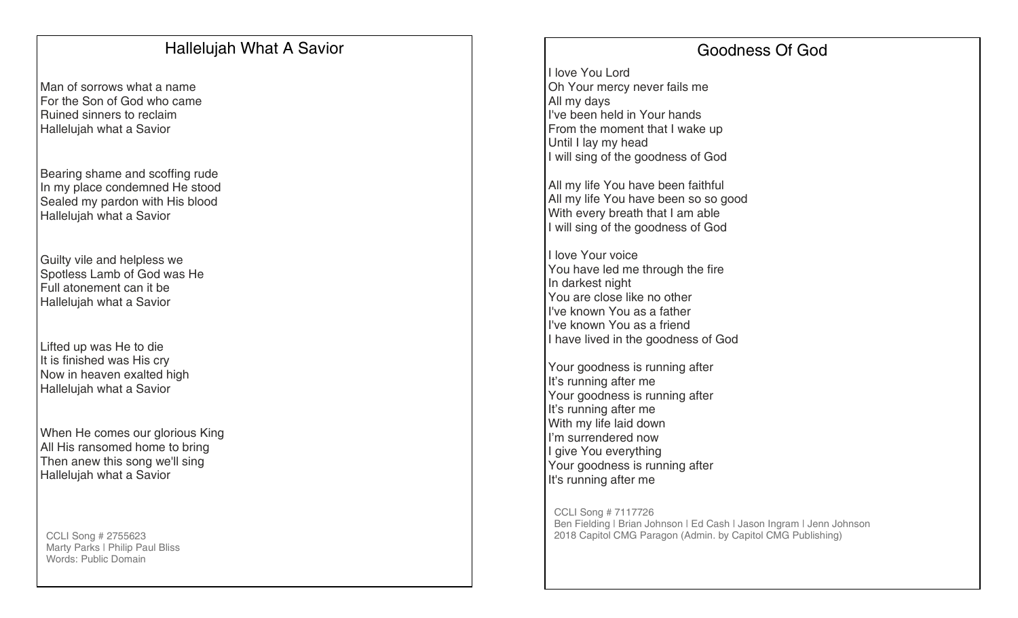### Hallelujah What A Savior

Man of sorrows what a name For the Son of God who came Ruined sinners to reclaim Hallelujah what a Savior

Bearing shame and scoffing rude In my place condemned He stood Sealed my pardon with His blood Hallelujah what a Savior

Guilty vile and helpless we Spotless Lamb of God was He Full atonement can it be Hallelujah what a Savior

Lifted up was He to die It is finished was His cry Now in heaven exalted high Hallelujah what a Savior

When He comes our glorious King All His ransomed home to bring Then anew this song we'll sing Hallelujah what a Savior

CCLI Song # 2755623 Marty Parks | Philip Paul Bliss Words: Public Domain

# Goodness Of God

I love You Lord Oh Your mercy never fails me All my days I've been held in Your hands From the moment that I wake up Until I lay my head I will sing of the goodness of God

All my life You have been faithful All my life You have been so so good With every breath that I am able I will sing of the goodness of God

I love Your voice You have led me through the fire In darkest night You are close like no other I've known You as a father I've known You as a friend I have lived in the goodness of God

Your goodness is running after It's running after me Your goodness is running after It's running after me With my life laid down I'm surrendered now I give You everything Your goodness is running after It's running after me

CCLI Song # 7117726

Ben Fielding | Brian Johnson | Ed Cash | Jason Ingram | Jenn Johnson 2018 Capitol CMG Paragon (Admin. by Capitol CMG Publishing)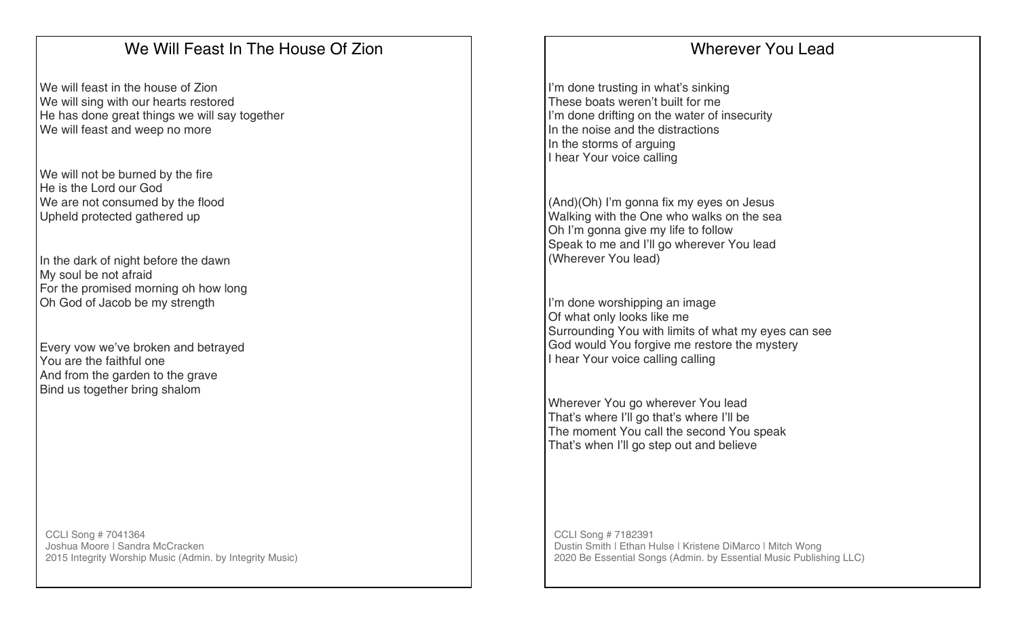### We Will Feast In The House Of Zion

We will feast in the house of Zion We will sing with our hearts restored He has done great things we will say together We will feast and weep no more

We will not be burned by the fire He is the Lord our God We are not consumed by the flood Upheld protected gathered up

In the dark of night before the dawn My soul be not afraid For the promised morning oh how long Oh God of Jacob be my strength

Every vow we've broken and betrayed You are the faithful one And from the garden to the grave Bind us together bring shalom

CCLI Song # 7041364 Joshua Moore | Sandra McCracken 2015 Integrity Worship Music (Admin. by Integrity Music)

## Wherever You Lead

I'm done trusting in what's sinking These boats weren't built for me I'm done drifting on the water of insecurity In the noise and the distractions In the storms of arguing I hear Your voice calling

(And)(Oh) I'm gonna fix my eyes on Jesus Walking with the One who walks on the sea Oh I'm gonna give my life to follow Speak to me and I'll go wherever You lead (Wherever You lead)

I'm done worshipping an image Of what only looks like me Surrounding You with limits of what my eyes can see God would You forgive me restore the mystery I hear Your voice calling calling

Wherever You go wherever You lead That's where I'll go that's where I'll be The moment You call the second You speak That's when I'll go step out and believe

CCLI Song # 7182391 Dustin Smith | Ethan Hulse | Kristene DiMarco | Mitch Wong 2020 Be Essential Songs (Admin. by Essential Music Publishing LLC)